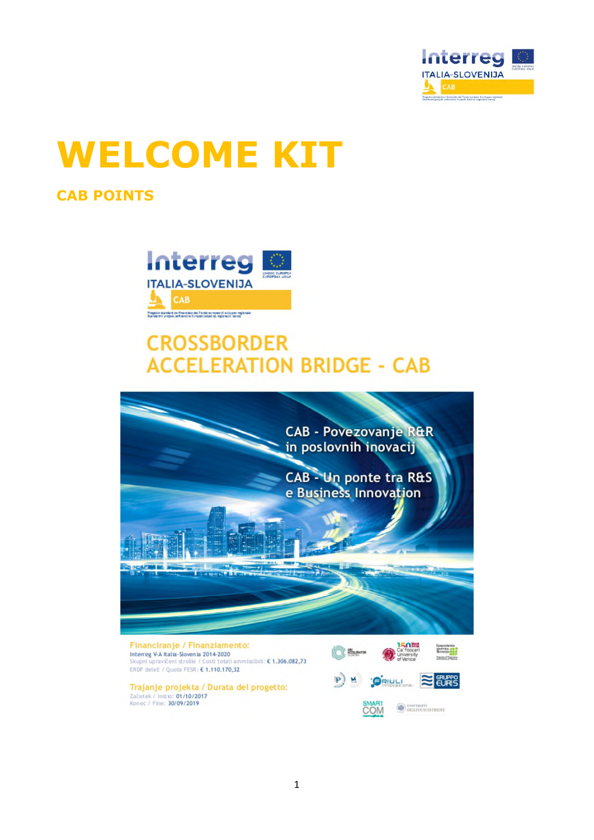

# **WELCOME KIT**

# **CAB POINTS**



# **CROSSBORDER ACCELERATION BRIDGE - CAB**

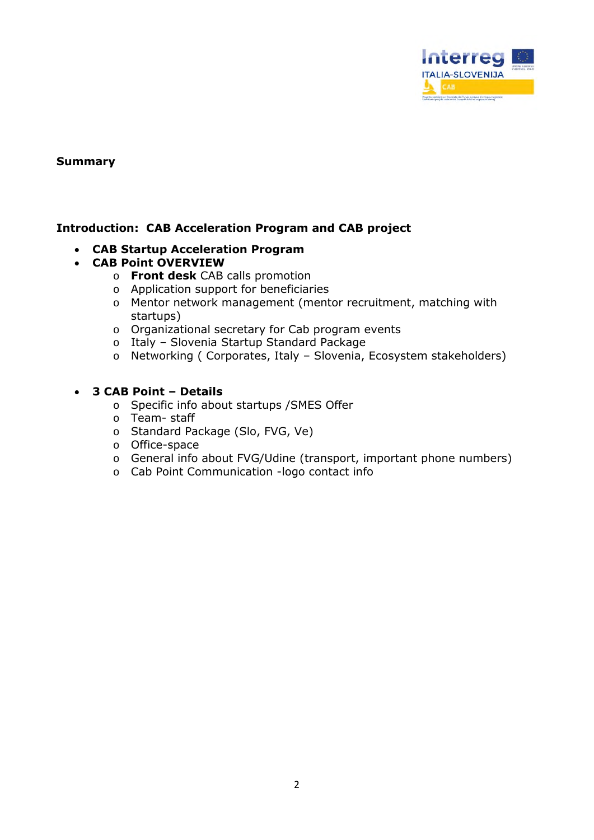

#### **Summary**

#### **Introduction: CAB Acceleration Program and CAB project**

- **CAB Startup Acceleration Program**
- **CAB Point OVERVIEW** 
	- o **Front desk** CAB calls promotion
	- o Application support for beneficiaries
	- o Mentor network management (mentor recruitment, matching with startups)
	- o Organizational secretary for Cab program events
	- o Italy Slovenia Startup Standard Package
	- o Networking ( Corporates, Italy Slovenia, Ecosystem stakeholders)

#### **3 CAB Point – Details**

- o Specific info about startups /SMES Offer
- o Team- staff
- o Standard Package (Slo, FVG, Ve)
- o Office-space
- o General info about FVG/Udine (transport, important phone numbers)
- o Cab Point Communication -logo contact info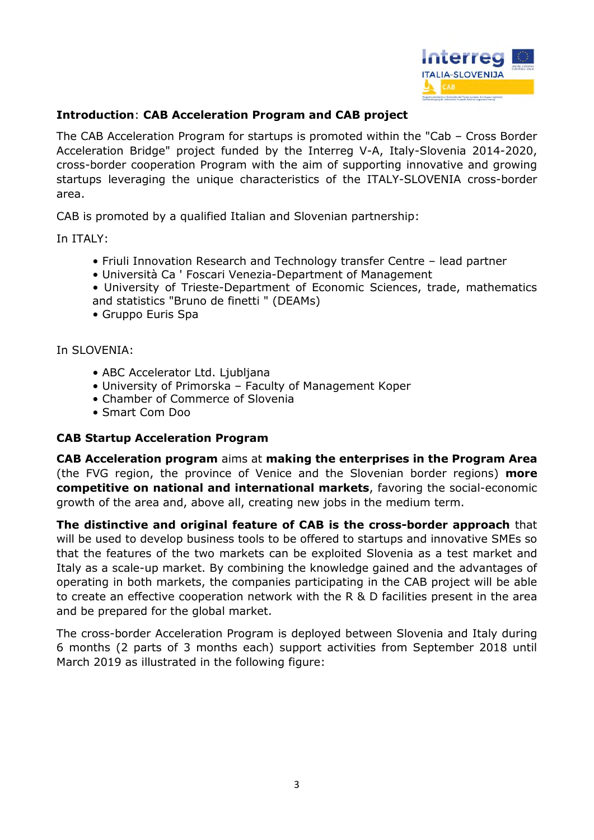

#### **Introduction**: **CAB Acceleration Program and CAB project**

The CAB Acceleration Program for startups is promoted within the "Cab – Cross Border Acceleration Bridge" project funded by the Interreg V-A, Italy-Slovenia 2014-2020, cross-border cooperation Program with the aim of supporting innovative and growing startups leveraging the unique characteristics of the ITALY-SLOVENIA cross-border area.

CAB is promoted by a qualified Italian and Slovenian partnership:

In ITALY:

- Friuli Innovation Research and Technology transfer Centre lead partner
- Università Ca ' Foscari Venezia-Department of Management
- University of Trieste-Department of Economic Sciences, trade, mathematics and statistics "Bruno de finetti " (DEAMs)
- Gruppo Euris Spa

In SLOVENIA:

- ABC Accelerator Ltd. Ljubljana
- University of Primorska Faculty of Management Koper
- Chamber of Commerce of Slovenia
- Smart Com Doo

#### **CAB Startup Acceleration Program**

**CAB Acceleration program** aims at **making the enterprises in the Program Area** (the FVG region, the province of Venice and the Slovenian border regions) **more competitive on national and international markets**, favoring the social-economic growth of the area and, above all, creating new jobs in the medium term.

**The distinctive and original feature of CAB is the cross-border approach** that will be used to develop business tools to be offered to startups and innovative SMEs so that the features of the two markets can be exploited Slovenia as a test market and Italy as a scale-up market. By combining the knowledge gained and the advantages of operating in both markets, the companies participating in the CAB project will be able to create an effective cooperation network with the R & D facilities present in the area and be prepared for the global market.

The cross-border Acceleration Program is deployed between Slovenia and Italy during 6 months (2 parts of 3 months each) support activities from September 2018 until March 2019 as illustrated in the following figure: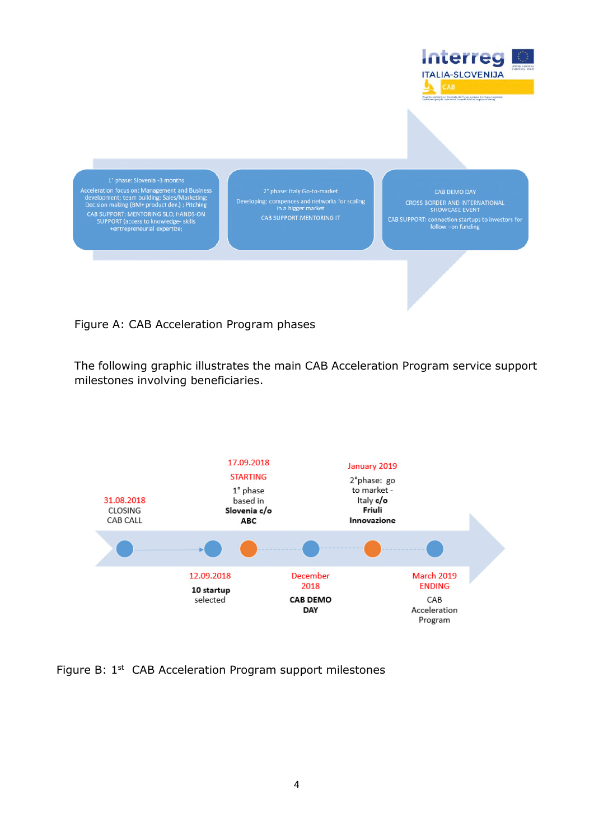

Figure A: CAB Acceleration Program phases

The following graphic illustrates the main CAB Acceleration Program service support milestones involving beneficiaries.



Figure B: 1<sup>st</sup> CAB Acceleration Program support milestones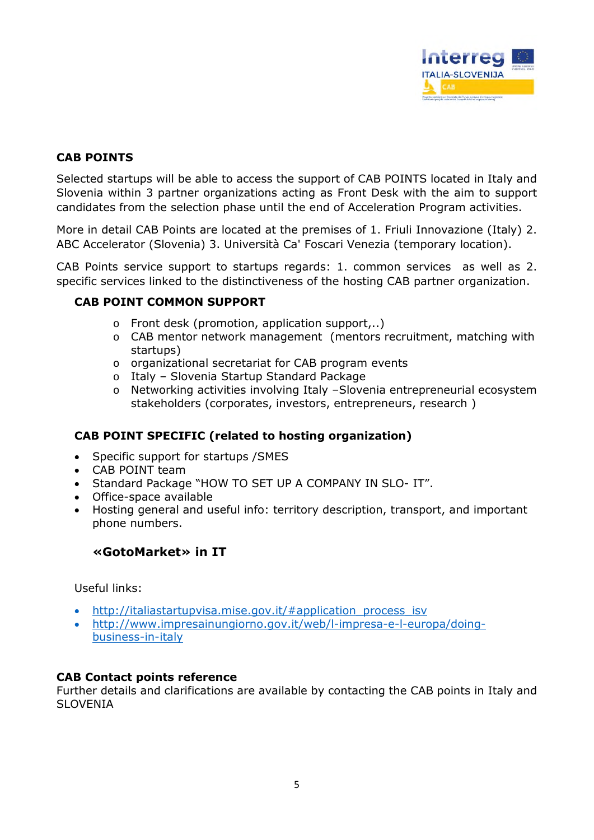

#### **CAB POINTS**

Selected startups will be able to access the support of CAB POINTS located in Italy and Slovenia within 3 partner organizations acting as Front Desk with the aim to support candidates from the selection phase until the end of Acceleration Program activities.

More in detail CAB Points are located at the premises of 1. Friuli Innovazione (Italy) 2. ABC Accelerator (Slovenia) 3. Università Ca' Foscari Venezia (temporary location).

CAB Points service support to startups regards: 1. common services as well as 2. specific services linked to the distinctiveness of the hosting CAB partner organization.

#### **CAB POINT COMMON SUPPORT**

- o Front desk (promotion, application support,..)
- o CAB mentor network management (mentors recruitment, matching with startups)
- o organizational secretariat for CAB program events
- o Italy Slovenia Startup Standard Package
- o Networking activities involving Italy –Slovenia entrepreneurial ecosystem stakeholders (corporates, investors, entrepreneurs, research )

#### **CAB POINT SPECIFIC (related to hosting organization)**

- Specific support for startups / SMES
- CAB POINT team
- Standard Package "HOW TO SET UP A COMPANY IN SLO- IT".
- Office-space available
- Hosting general and useful info: territory description, transport, and important phone numbers.

#### **«GotoMarket» in IT**

Useful links:

- http://italiastartupvisa.mise.gov.it/#application\_process\_isv
- http://www.impresainungiorno.gov.it/web/l-impresa-e-l-europa/doingbusiness-in-italy

#### **CAB Contact points reference**

Further details and clarifications are available by contacting the CAB points in Italy and SLOVENIA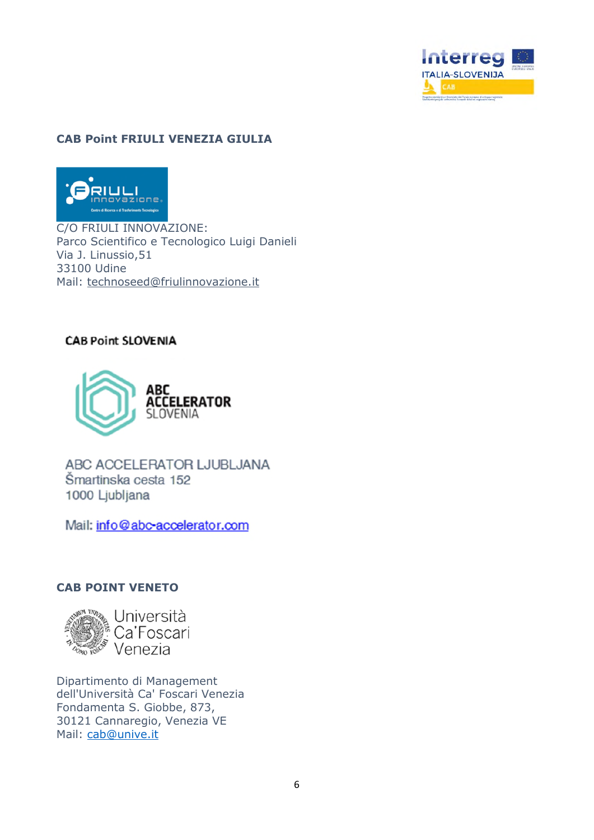

#### **CAB Point FRIULI VENEZIA GIULIA**



C/O FRIULI INNOVAZIONE: Parco Scientifico e Tecnologico Luigi Danieli Via J. Linussio,51 33100 Udine Mail: technoseed@friulinnovazione.it

#### **CAB Point SLOVENIA**



ABC ACCELERATOR LJUBLJANA Šmartinska cesta 152 1000 Ljubljana

Mail: info@abc-accelerator.com

#### **CAB POINT VENETO**



Università Ca'Foscari Venezia

Dipartimento di Management dell'Università Ca' Foscari Venezia Fondamenta S. Giobbe, 873, 30121 Cannaregio, Venezia VE Mail: cab@unive.it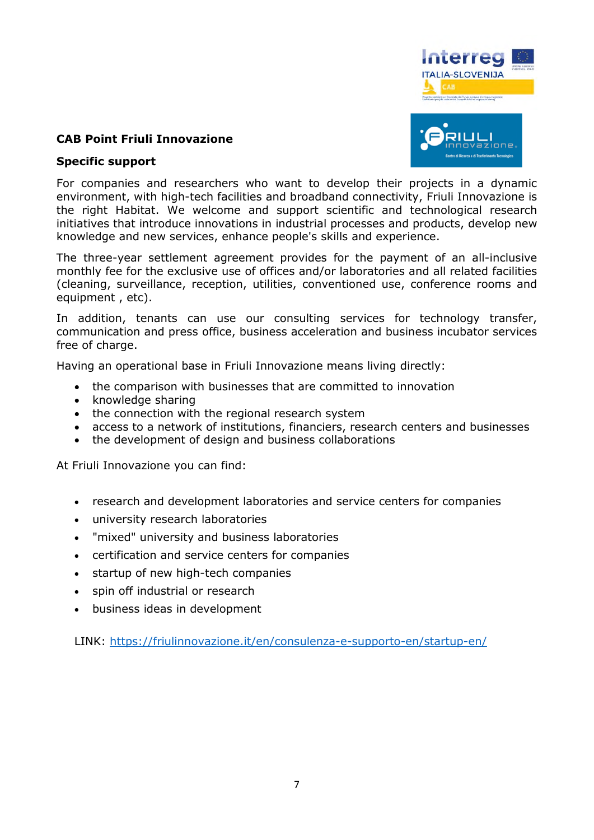

#### **CAB Point Friuli Innovazione**

#### **Specific support**

For companies and researchers who want to develop their projects in a dynamic environment, with high-tech facilities and broadband connectivity, Friuli Innovazione is the right Habitat. We welcome and support scientific and technological research initiatives that introduce innovations in industrial processes and products, develop new knowledge and new services, enhance people's skills and experience.

The three-year settlement agreement provides for the payment of an all-inclusive monthly fee for the exclusive use of offices and/or laboratories and all related facilities (cleaning, surveillance, reception, utilities, conventioned use, conference rooms and equipment , etc).

In addition, tenants can use our consulting services for technology transfer, communication and press office, business acceleration and business incubator services free of charge.

Having an operational base in Friuli Innovazione means living directly:

- the comparison with businesses that are committed to innovation
- knowledge sharing
- the connection with the regional research system
- access to a network of institutions, financiers, research centers and businesses
- the development of design and business collaborations

At Friuli Innovazione you can find:

- research and development laboratories and service centers for companies
- university research laboratories
- "mixed" university and business laboratories
- certification and service centers for companies
- startup of new high-tech companies
- spin off industrial or research
- business ideas in development

LINK: https://friulinnovazione.it/en/consulenza-e-supporto-en/startup-en/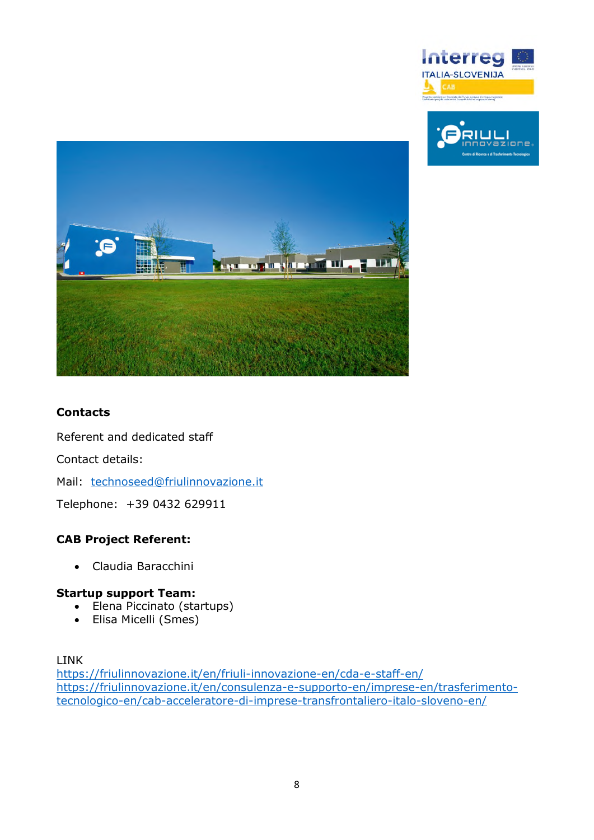





### **Contacts**

Referent and dedicated staff

Contact details:

Mail: technoseed@friulinnovazione.it

Telephone: +39 0432 629911

#### **CAB Project Referent:**

Claudia Baracchini

#### **Startup support Team:**

- Elena Piccinato (startups)
- Elisa Micelli (Smes)

#### LINK

https://friulinnovazione.it/en/friuli-innovazione-en/cda-e-staff-en/ https://friulinnovazione.it/en/consulenza-e-supporto-en/imprese-en/trasferimentotecnologico-en/cab-acceleratore-di-imprese-transfrontaliero-italo-sloveno-en/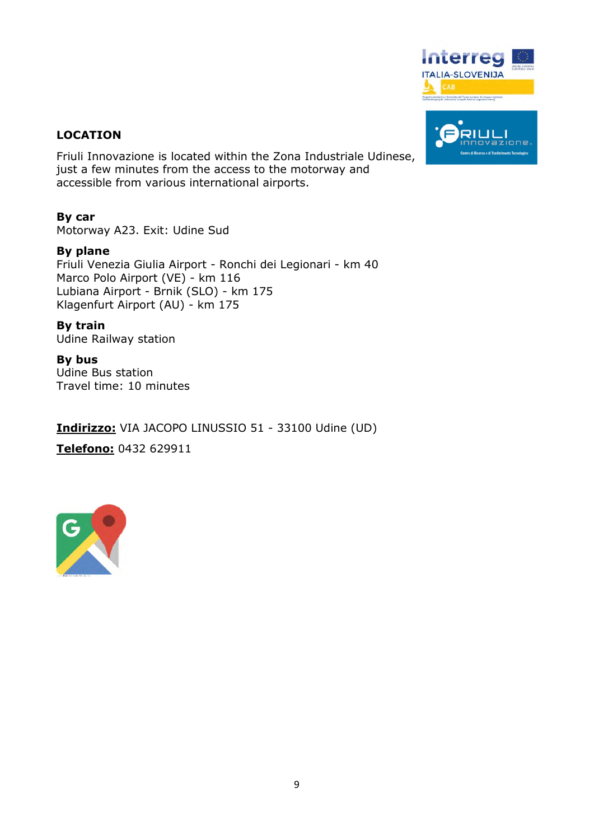

#### **LOCATION**

Friuli Innovazione is located within the Zona Industriale Udinese, just a few minutes from the access to the motorway and accessible from various international airports.

#### **By car**

Motorway A23. Exit: Udine Sud

#### **By plane**

Friuli Venezia Giulia Airport - Ronchi dei Legionari - km 40 Marco Polo Airport (VE) - km 116 Lubiana Airport - Brnik (SLO) - km 175 Klagenfurt Airport (AU) - km 175

#### **By train**

Udine Railway station

# **By bus**

Udine Bus station Travel time: 10 minutes

**Indirizzo:** VIA JACOPO LINUSSIO 51 - 33100 Udine (UD)

**Telefono:** 0432 629911

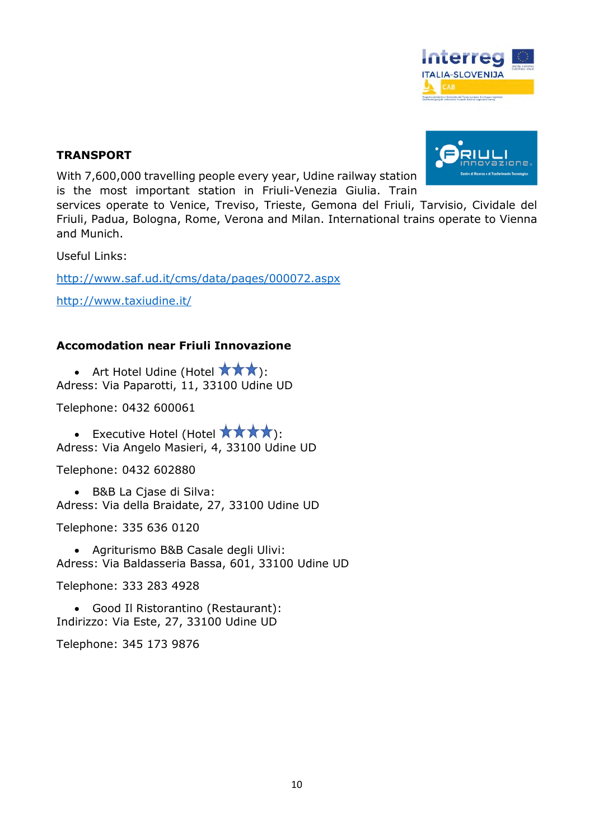

#### **TRANSPORT**

With 7,600,000 travelling people every year, Udine railway station is the most important station in Friuli-Venezia Giulia. Train

services operate to Venice, Treviso, Trieste, Gemona del Friuli, Tarvisio, Cividale del Friuli, Padua, Bologna, Rome, Verona and Milan. International trains operate to Vienna and Munich.

Useful Links:

http://www.saf.ud.it/cms/data/pages/000072.aspx

http://www.taxiudine.it/

#### **Accomodation near Friuli Innovazione**

• Art Hotel Udine (Hotel  $\star \star \star$ ): Adress: Via Paparotti, 11, 33100 Udine UD

Telephone: 0432 600061

• Executive Hotel (Hotel  $\star \star \star \star$ ): Adress: Via Angelo Masieri, 4, 33100 Udine UD

Telephone: 0432 602880

 B&B La Cjase di Silva: Adress: Via della Braidate, 27, 33100 Udine UD

Telephone: 335 636 0120

 Agriturismo B&B Casale degli Ulivi: Adress: Via Baldasseria Bassa, 601, 33100 Udine UD

Telephone: 333 283 4928

 Good Il Ristorantino (Restaurant): Indirizzo: Via Este, 27, 33100 Udine UD

Telephone: 345 173 9876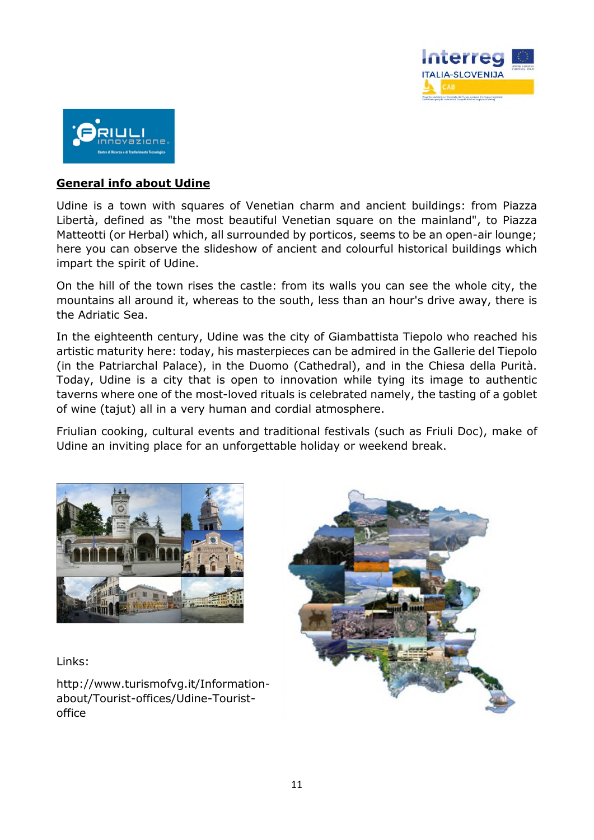



#### **General info about Udine**

Udine is a town with squares of Venetian charm and ancient buildings: from Piazza Libertà, defined as "the most beautiful Venetian square on the mainland", to Piazza Matteotti (or Herbal) which, all surrounded by porticos, seems to be an open-air lounge; here you can observe the slideshow of ancient and colourful historical buildings which impart the spirit of Udine.

On the hill of the town rises the castle: from its walls you can see the whole city, the mountains all around it, whereas to the south, less than an hour's drive away, there is the Adriatic Sea.

In the eighteenth century, Udine was the city of Giambattista Tiepolo who reached his artistic maturity here: today, his masterpieces can be admired in the Gallerie del Tiepolo (in the Patriarchal Palace), in the Duomo (Cathedral), and in the Chiesa della Purità. Today, Udine is a city that is open to innovation while tying its image to authentic taverns where one of the most-loved rituals is celebrated namely, the tasting of a goblet of wine (tajut) all in a very human and cordial atmosphere.

Friulian cooking, cultural events and traditional festivals (such as Friuli Doc), make of Udine an inviting place for an unforgettable holiday or weekend break.



Links:

http://www.turismofvg.it/Informationabout/Tourist-offices/Udine-Touristoffice

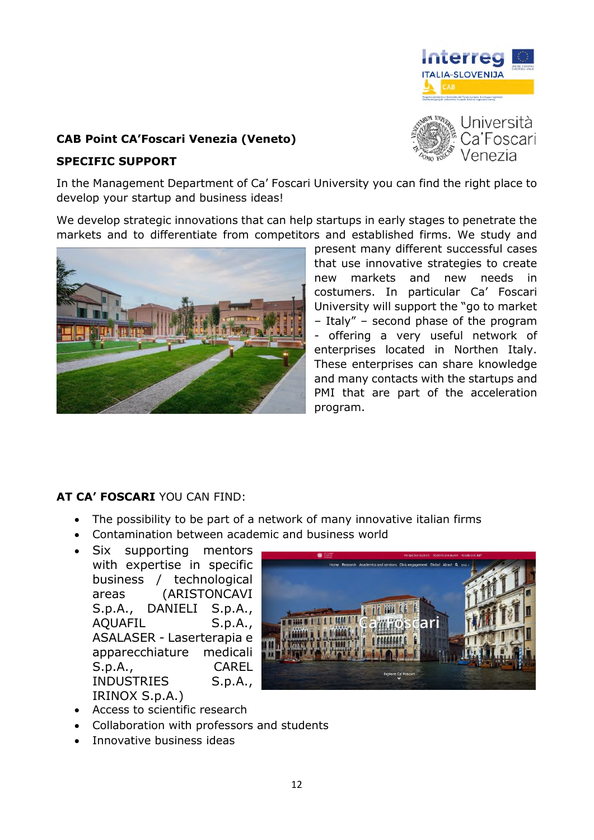

## **CAB Point CA'Foscari Venezia (Veneto)**

#### **SPECIFIC SUPPORT**

Università Ca'Foscari Venezia

In the Management Department of Ca' Foscari University you can find the right place to develop your startup and business ideas!

We develop strategic innovations that can help startups in early stages to penetrate the markets and to differentiate from competitors and established firms. We study and



present many different successful cases that use innovative strategies to create new markets and new needs in costumers. In particular Ca' Foscari University will support the "go to market – Italy" – second phase of the program - offering a very useful network of enterprises located in Northen Italy. These enterprises can share knowledge and many contacts with the startups and PMI that are part of the acceleration program.

## **AT CA' FOSCARI** YOU CAN FIND:

- The possibility to be part of a network of many innovative italian firms
- Contamination between academic and business world
- Six supporting mentors with expertise in specific business / technological areas (ARISTONCAVI S.p.A., DANIELI S.p.A., AQUAFIL S.p.A., ASALASER - Laserterapia e apparecchiature medicali S.p.A., CAREL INDUSTRIES S.p.A., IRINOX S.p.A.)



- Access to scientific research
- Collaboration with professors and students
- Innovative business ideas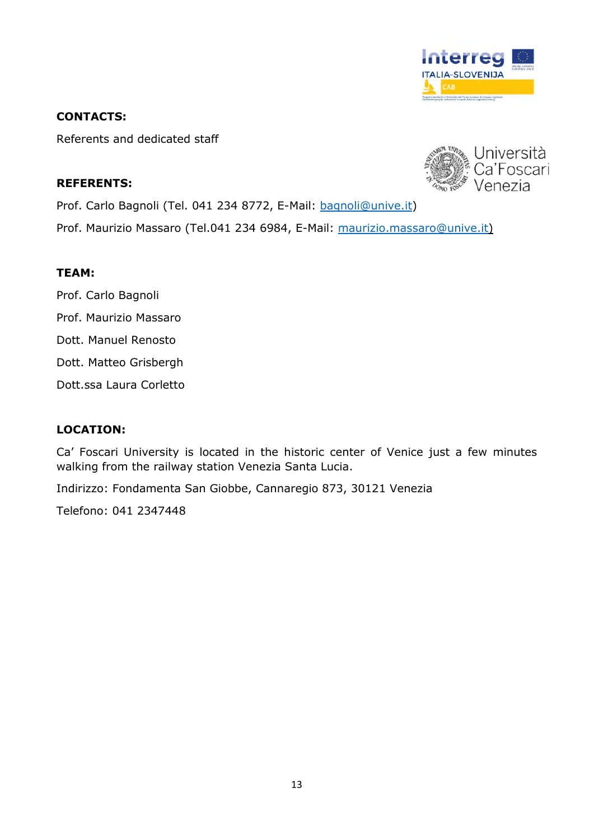

#### **CONTACTS:**

Referents and dedicated staff

#### **REFERENTS:**



Prof. Carlo Bagnoli (Tel. 041 234 8772, E-Mail: bagnoli@unive.it)

Prof. Maurizio Massaro (Tel.041 234 6984, E-Mail: maurizio.massaro@unive.it)

#### **TEAM:**

- Prof. Carlo Bagnoli
- Prof. Maurizio Massaro
- Dott. Manuel Renosto
- Dott. Matteo Grisbergh
- Dott.ssa Laura Corletto

#### **LOCATION:**

Ca' Foscari University is located in the historic center of Venice just a few minutes walking from the railway station Venezia Santa Lucia.

Indirizzo: Fondamenta San Giobbe, Cannaregio 873, 30121 Venezia

Telefono: 041 2347448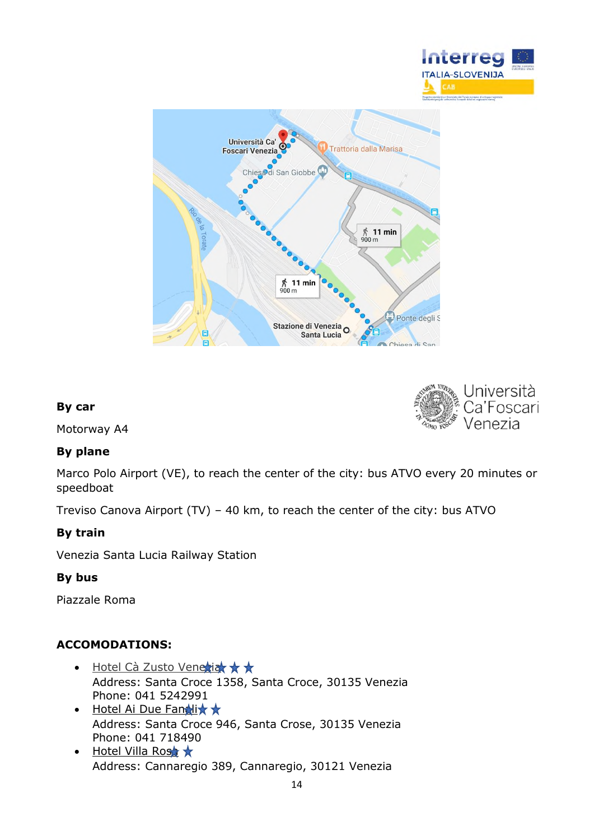





#### **By car**

Motorway A4

#### **By plane**

Marco Polo Airport (VE), to reach the center of the city: bus ATVO every 20 minutes or speedboat

Treviso Canova Airport (TV) – 40 km, to reach the center of the city: bus ATVO

#### **By train**

Venezia Santa Lucia Railway Station

#### **By bus**

Piazzale Roma

#### **ACCOMODATIONS:**

- $\cdot$  Hotel Cà Zusto Venezia  $\star \star$ Address: Santa Croce 1358, Santa Croce, 30135 Venezia Phone: 041 5242991
- $\bullet$  Hotel Ai Due Fanalix  $\star$ Address: Santa Croce 946, Santa Crose, 30135 Venezia Phone: 041 718490
- $\bullet$  Hotel Villa Rost  $\star$ Address: Cannaregio 389, Cannaregio, 30121 Venezia